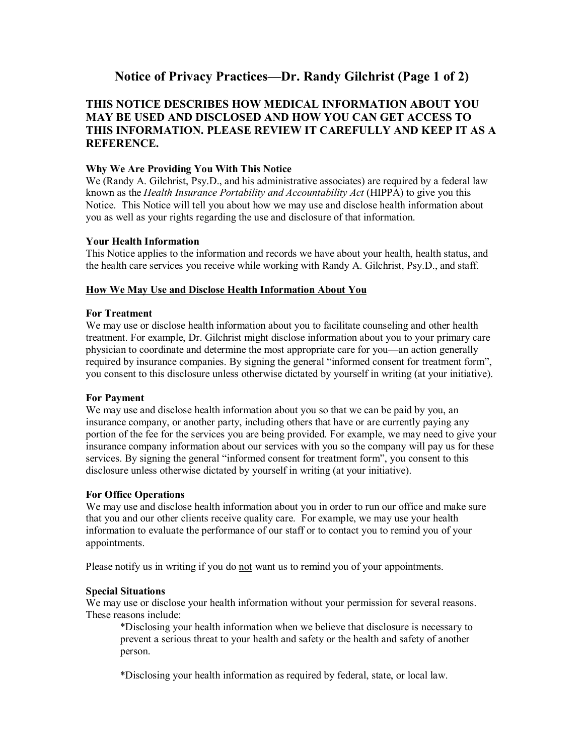# Notice of Privacy Practices—Dr. Randy Gilchrist (Page 1 of 2)

## **THIS NOTICE DESCRIBES HOW MEDICAL INFORMATION ABOUT YOU MAY BE USED AND DISCLOSED AND HOW YOU CAN GET ACCESS TO THIS INFORMATION. PLEASE REVIEW IT CAREFULLY AND KEEP IT AS A REFERENCE.**

## **Why We Are Providing You With This Notice**

We (Randy A. Gilchrist, Psy.D., and his administrative associates) are required by a federal law known as the *Health Insurance Portability and Accountability Act* (HIPPA) to give you this Notice. This Notice will tell you about how we may use and disclose health information about you as well as your rights regarding the use and disclosure of that information.

#### **Your Health Information**

This Notice applies to the information and records we have about your health, health status, and the health care services you receive while working with Randy A. Gilchrist, Psy.D., and staff.

#### **How We May Use and Disclose Health Information About You**

#### **For Treatment**

We may use or disclose health information about you to facilitate counseling and other health treatment. For example, Dr. Gilchrist might disclose information about you to your primary care physician to coordinate and determine the most appropriate care for you—an action generally required by insurance companies. By signing the general "informed consent for treatment form", you consent to this disclosure unless otherwise dictated by yourself in writing (at your initiative).

#### **For Payment**

We may use and disclose health information about you so that we can be paid by you, an insurance company, or another party, including others that have or are currently paying any portion of the fee for the services you are being provided. For example, we may need to give your insurance company information about our services with you so the company will pay us for these services. By signing the general "informed consent for treatment form", you consent to this disclosure unless otherwise dictated by yourself in writing (at your initiative).

#### **For Office Operations**

We may use and disclose health information about you in order to run our office and make sure that you and our other clients receive quality care. For example, we may use your health information to evaluate the performance of our staff or to contact you to remind you of your appointments.

Please notify us in writing if you do not want us to remind you of your appointments.

### **Special Situations**

We may use or disclose your health information without your permission for several reasons. These reasons include:

\*Disclosing your health information when we believe that disclosure is necessary to prevent a serious threat to your health and safety or the health and safety of another person.

\*Disclosing your health information as required by federal, state, or local law.